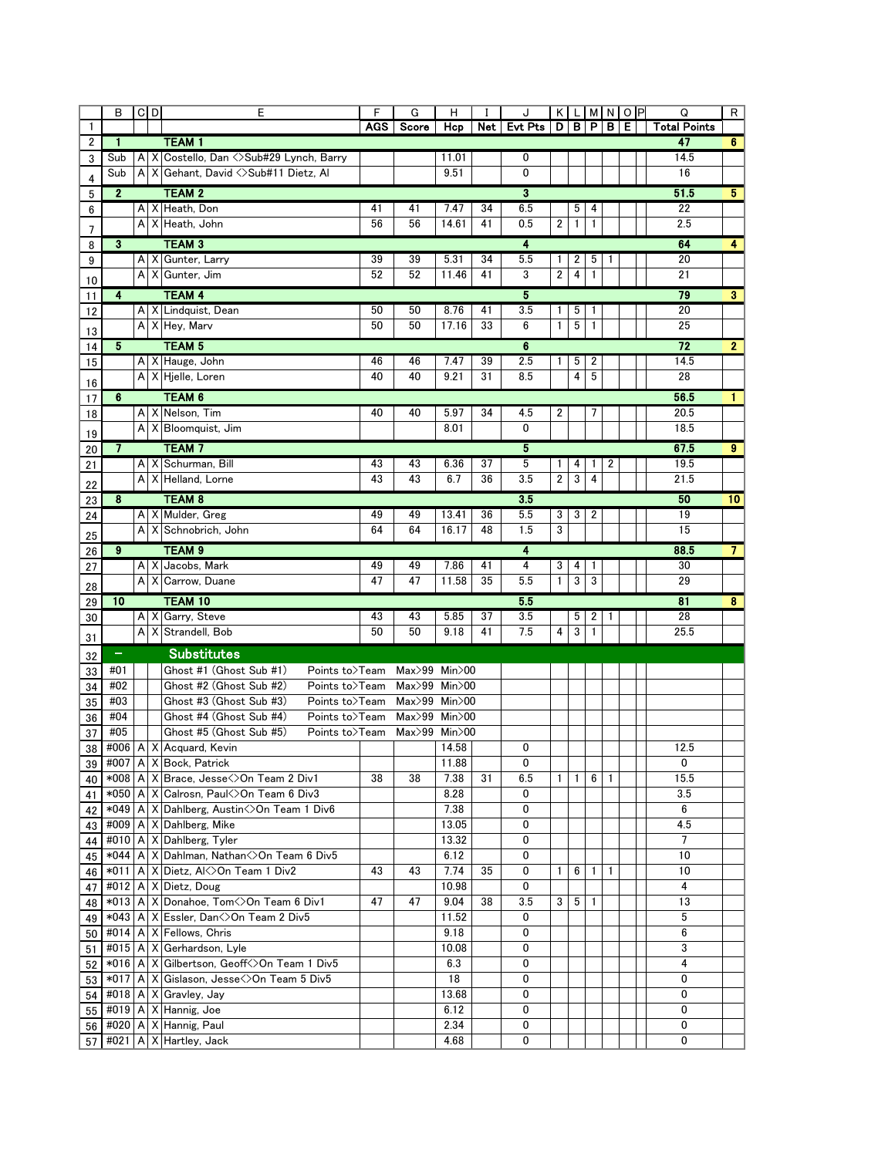|              | в                       |              | $C$ <sub>D</sub> | E                                                    | F          | G                  | н            |     | J              |                         |              |              |                | KLIMNOP | Q                   | R                       |
|--------------|-------------------------|--------------|------------------|------------------------------------------------------|------------|--------------------|--------------|-----|----------------|-------------------------|--------------|--------------|----------------|---------|---------------------|-------------------------|
| $\mathbf{1}$ |                         |              |                  |                                                      | <b>AGS</b> | Score              | Hcp          | Net | <b>Evt Pts</b> |                         |              |              | D B P B E      |         | <b>Total Points</b> |                         |
| 2            | 1                       |              |                  | <b>TEAM1</b>                                         |            |                    |              |     |                |                         |              |              |                |         | 47                  | 6 <sup>1</sup>          |
| 3            | Sub                     | A            |                  | X Costello, Dan <>Sub#29 Lynch, Barry                |            |                    | 11.01        |     | 0              |                         |              |              |                |         | 14.5                |                         |
| 4            | Sub                     | A            | Х                | Gehant, David <>Sub#11 Dietz, Al                     |            |                    | 9.51         |     | 0              |                         |              |              |                |         | 16                  |                         |
| 5            | $\mathbf{2}$            |              |                  | <b>TEAM 2</b>                                        |            |                    |              |     | 3              |                         |              |              |                |         | 51.5                | 5 <sub>5</sub>          |
| 6            |                         |              |                  | A X Heath, Don                                       | 41         | 41                 | 7.47         | 34  | 6.5            |                         | 5            | 4            |                |         | 22                  |                         |
|              |                         | A            |                  | X Heath, John                                        | 56         | 56                 | 14.61        | 41  | 0.5            | $\overline{\mathbf{2}}$ | $\mathbf{1}$ | $\mathbf{1}$ |                |         | 2.5                 |                         |
| 7            | 3                       |              |                  | <b>TEAM 3</b>                                        |            |                    |              |     | 4              |                         |              |              |                |         | 64                  | $\overline{4}$          |
| 8<br>9       |                         |              | A   X            | Gunter, Larry                                        | 39         | 39                 | 5.31         | 34  | 5.5            | 1.                      | 2            | 5            | 1              |         | 20                  |                         |
|              |                         |              | A X              | Gunter, Jim                                          | 52         | 52                 | 11.46        | 41  | 3              | $\overline{\mathbf{c}}$ | 4            | $\mathbf{1}$ |                |         | 21                  |                         |
| 10           |                         |              |                  |                                                      |            |                    |              |     |                |                         |              |              |                |         |                     |                         |
| 11           | 4                       |              |                  | <b>TEAM 4</b>                                        |            |                    |              |     | 5              |                         |              |              |                |         | 79                  | 3 <sup>2</sup>          |
| 12           |                         |              |                  | A X Lindquist, Dean                                  | 50         | 50                 | 8.76         | 41  | 3.5            | 1.                      | 5            | 1            |                |         | 20                  |                         |
| 13           |                         |              |                  | A X Hey, Marv                                        | 50         | 50                 | 17.16        | 33  | 6              | 1                       | 5            | 1            |                |         | 25                  |                         |
| 14           | 5                       |              |                  | <b>TEAM 5</b>                                        |            |                    |              |     | 6              |                         |              |              |                |         | 72                  | $\mathbf{2}$            |
| 15           |                         |              |                  | A   X   Hauge, John                                  | 46         | 46                 | 7.47         | 39  | 2.5            | $\mathbf{1}$            | 5            | 2            |                |         | 14.5                |                         |
| 16           |                         |              |                  | A X Hjelle, Loren                                    | 40         | 40                 | 9.21         | 31  | 8.5            |                         | 4            | 5            |                |         | 28                  |                         |
| 17           | $\overline{\mathbf{6}}$ |              |                  | <b>TEAM 6</b>                                        |            |                    |              |     |                |                         |              |              |                |         | 56.5                | 1.                      |
| 18           |                         |              |                  | A   X   Nelson, Tim                                  | 40         | 40                 | 5.97         | 34  | 4.5            | 2                       |              | 7            |                |         | 20.5                |                         |
|              |                         |              |                  | A X Bloomquist, Jim                                  |            |                    | 8.01         |     | 0              |                         |              |              |                |         | 18.5                |                         |
| 19           |                         |              |                  |                                                      |            |                    |              |     |                |                         |              |              |                |         |                     |                         |
| 20           | 7                       |              |                  | <b>TEAM7</b>                                         |            |                    |              |     | 5              |                         |              |              |                |         | 67.5                | $9^{\circ}$             |
| 21           |                         | A            |                  | X Schurman, Bill                                     | 43         | 43                 | 6.36         | 37  | 5<br>3.5       | 1<br>$\overline{2}$     | 4<br>3       | 1<br>4       | 2              |         | 19.5                |                         |
| 22           |                         | A            |                  | X Helland, Lorne                                     | 43         | 43                 | 6.7          | 36  |                |                         |              |              |                |         | 21.5                |                         |
| 23           | 8                       |              |                  | <b>TEAM 8</b>                                        |            |                    |              |     | 3.5            |                         |              |              |                |         | 50                  | 10                      |
| 24           |                         |              |                  | A X Mulder, Greg                                     | 49         | 49                 | 13.41        | 36  | 5.5            | 3                       | 3            | 2            |                |         | 19                  |                         |
| 25           |                         | $\mathsf{A}$ |                  | X Schnobrich, John                                   | 64         | 64                 | 16.17        | 48  | 1.5            | 3                       |              |              |                |         | 15                  |                         |
| 26           | 9                       |              |                  | <b>TEAM 9</b>                                        |            |                    |              |     | 4              |                         |              |              |                |         | 88.5                | $\overline{7}$          |
| 27           |                         |              | A X              | Jacobs, Mark                                         | 49         | 49                 | 7.86         | 41  | 4              | 3                       | 4            | 1            |                |         | 30                  |                         |
| 28           |                         |              | $A \times$       | Carrow, Duane                                        | 47         | 47                 | 11.58        | 35  | 5.5            | $\mathbf{1}$            | $\sqrt{3}$   | 3            |                |         | 29                  |                         |
|              | $\overline{10}$         |              |                  | <b>TEAM 10</b>                                       |            |                    |              |     | 5.5            |                         |              |              |                |         | 81                  | $\overline{\mathbf{8}}$ |
| 29<br>30     |                         |              | A X              | Garry, Steve                                         | 43         | 43                 | 5.85         | 37  | 3.5            |                         | 5            | 2            | 1              |         | 28                  |                         |
|              |                         |              | $A \times$       | Strandell, Bob                                       | 50         | 50                 | 9.18         | 41  | 7.5            | 4                       | 3            | $\mathbf{1}$ |                |         | 25.5                |                         |
| 31           |                         |              |                  |                                                      |            |                    |              |     |                |                         |              |              |                |         |                     |                         |
| 32           | -                       |              |                  | <b>Substitutes</b>                                   |            |                    |              |     |                |                         |              |              |                |         |                     |                         |
| 33           | #01                     |              |                  | Ghost #1 (Ghost Sub #1)<br>Points to>Team            |            | Max>99             | $Min$ $>$ 00 |     |                |                         |              |              |                |         |                     |                         |
| 34           | #02                     |              |                  | Ghost #2 (Ghost Sub #2)<br>Points to>Team            |            | Max>99             | $Min$ $>$ 00 |     |                |                         |              |              |                |         |                     |                         |
| 35           | #03                     |              |                  | Ghost #3 (Ghost Sub #3)<br>Points to>Team            |            | $Max>99$ Min $>00$ |              |     |                |                         |              |              |                |         |                     |                         |
| 36           | #04                     |              |                  | Ghost #4 (Ghost Sub #4)<br>Points to>Team            |            | Max>99             | $Min$ $>$ 00 |     |                |                         |              |              |                |         |                     |                         |
| 37           | #05                     |              |                  | Ghost #5 (Ghost Sub #5)<br>Points to>Team            |            | Max>99             | $Min$ >00    |     |                |                         |              |              |                |         |                     |                         |
| 38           | #006                    | A X          |                  | Acquard, Kevin                                       |            |                    | 14.58        |     | 0              |                         |              |              |                |         | 12.5                |                         |
|              |                         |              |                  | 39 #007 A X Bock, Patrick                            |            |                    | 11.88        |     | O              |                         |              |              |                |         | 0                   |                         |
| 40           |                         |              |                  | *008   A   X   Brace, Jesse < > On Team 2 Div1       | 38         | 38                 | 7.38         | 31  | 6.5            | $\mathbf{1}$            | $\mathbf{1}$ | 6            | $\overline{1}$ |         | 15.5                |                         |
| 41           |                         |              |                  | *050   A   X   Calrosn, Paul<>On Team 6 Div3         |            |                    | 8.28         |     | 0              |                         |              |              |                |         | 3.5                 |                         |
| 42           |                         |              |                  | *049   A   X   Dahlberg, Austin < > On Team 1 Div6   |            |                    | 7.38         |     | 0              |                         |              |              |                |         | 6                   |                         |
| 43           |                         |              |                  | #009   A   X   Dahlberg, Mike                        |            |                    | 13.05        |     | 0              |                         |              |              |                |         | 4.5                 |                         |
| 44           |                         |              |                  | $\#010$ A $\times$ Dahlberg, Tyler                   |            |                    | 13.32        |     | 0              |                         |              |              |                |         | $\overline{7}$      |                         |
| 45           |                         |              |                  | *044   A   X   Dahlman, Nathan < > On Team 6 Div 5   |            |                    | 6.12         |     | 0              |                         |              |              |                |         | 10                  |                         |
| 46           |                         |              |                  | *011   A   X   Dietz, Al<>On Team 1 Div2             | 43         | 43                 | 7.74         | 35  | 0              | $\mathbf{1}$            | 6            | $\mathbf{1}$ | $\overline{1}$ |         | 10                  |                         |
| 47           |                         |              |                  | #012   A   $X$   Dietz, Doug                         |            |                    | 10.98        |     | 0              |                         |              |              |                |         | 4                   |                         |
| 48           |                         |              |                  | *013   A   X   Donahoe, Tom <> On Team 6 Div1        | 47         | 47                 | 9.04         | 38  | 3.5            | 3                       | 5            | 1            |                |         | 13                  |                         |
| 49           |                         |              |                  | *043   A   X   Essler, Dan < > On Team 2 Div 5       |            |                    | 11.52        |     | 0              |                         |              |              |                |         | 5                   |                         |
| 50           |                         |              |                  | #014 A X Fellows, Chris                              |            |                    | 9.18         |     | 0              |                         |              |              |                |         | 6                   |                         |
| 51           |                         |              |                  | #015   A   X   Gerhardson, Lyle                      |            |                    | 10.08        |     | 0              |                         |              |              |                |         | 3                   |                         |
| 52           |                         |              |                  | *016   A   X   Gilbertson, Geoff < > On Team 1 Div 5 |            |                    | 6.3          |     | 0              |                         |              |              |                |         | $\overline{4}$      |                         |
| 53           |                         |              |                  | *017   A   X   Gislason, Jesse < > On Team 5 Div5    |            |                    | 18           |     | 0              |                         |              |              |                |         | 0                   |                         |
| 54           |                         |              |                  | #018   A   $X$ Gravley, Jay                          |            |                    | 13.68        |     | 0              |                         |              |              |                |         | 0                   |                         |
| 55           |                         |              |                  | #019 $A \times$ Hannig, Joe                          |            |                    | 6.12         |     | 0              |                         |              |              |                |         | 0                   |                         |
|              |                         |              |                  | 56 #020   A   X   Hannig, Paul                       |            |                    | 2.34         |     | 0              |                         |              |              |                |         | 0                   |                         |
| 57           |                         |              |                  | #021   $A$   $X$   Hartley, Jack                     |            |                    | 4.68         |     | 0              |                         |              |              |                |         | 0                   |                         |